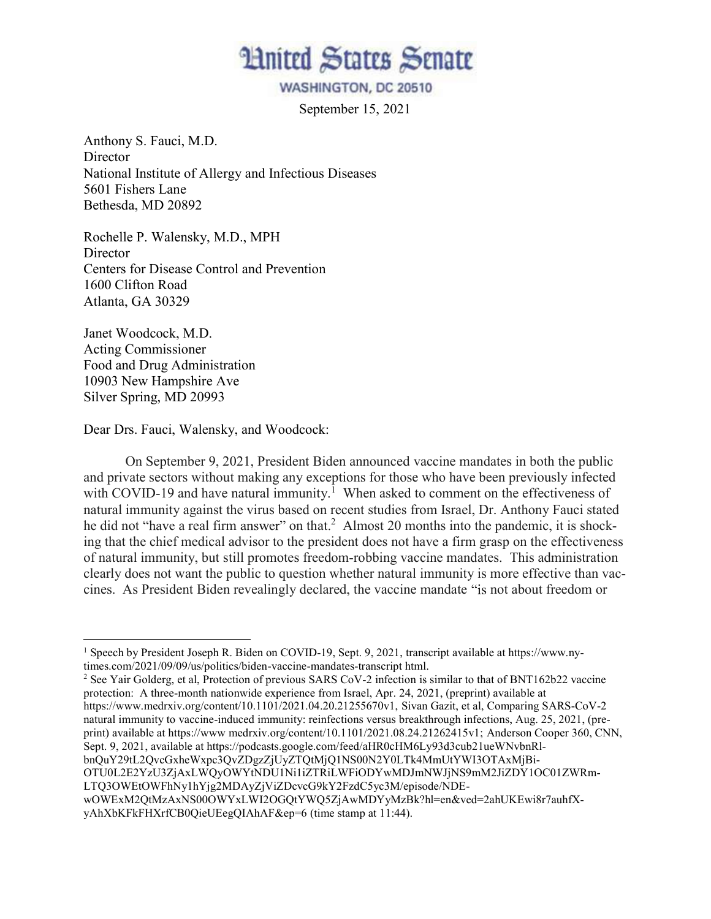

WASHINGTON, DC 20510

September 15, 2021

Anthony S. Fauci, M.D. **Director** National Institute of Allergy and Infectious Diseases 5601 Fishers Lane Bethesda, MD 20892

Rochelle P. Walensky, M.D., MPH Director Centers for Disease Control and Prevention 1600 Clifton Road Atlanta, GA 30329

Janet Woodcock, M.D. Acting Commissioner Food and Drug Administration 10903 New Hampshire Ave Silver Spring, MD 20993

Dear Drs. Fauci, Walensky, and Woodcock:

On September 9, 2021, President Biden announced vaccine mandates in both the public and private sectors without making any exceptions for those who have been previously infected with COVID-19 and have natural immunity.<sup>1</sup> When asked to comment on the effectiveness of natural immunity against the virus based on recent studies from Israel, Dr. Anthony Fauci stated he did not "have a real firm answer" on that.<sup>2</sup> Almost 20 months into the pandemic, it is shocking that the chief medical advisor to the president does not have a firm grasp on the effectiveness of natural immunity, but still promotes freedom-robbing vaccine mandates. This administration clearly does not want the public to question whether natural immunity is more effective than vaccines. As President Biden revealingly declared, the vaccine mandate "is not about freedom or

<sup>2</sup> See Yair Golderg, et al, Protection of previous SARS CoV-2 infection is similar to that of BNT162b22 vaccine protection: A three-month nationwide experience from Israel, Apr. 24, 2021, (preprint) available at

https://www.medrxiv.org/content/10.1101/2021.04.20.21255670v1, Sivan Gazit, et al, Comparing SARS-CoV-2 natural immunity to vaccine-induced immunity: reinfections versus breakthrough infections, Aug. 25, 2021, (preprint) available at https://www medrxiv.org/content/10.1101/2021.08.24.21262415v1; Anderson Cooper 360, CNN, Sept. 9, 2021, available at https://podcasts.google.com/feed/aHR0cHM6Ly93d3cub21ueWNvbnRlbnQuY29tL2QvcGxheWxpc3QvZDgzZjUyZTQtMjQ1NS00N2Y0LTk4MmUtYWI3OTAxMjBi-OTU0L2E2YzU3ZjAxLWQyOWYtNDU1Ni1iZTRiLWFiODYwMDJmNWJjNS9mM2JiZDY1OC01ZWRm-LTQ3OWEtOWFhNy1hYjg2MDAyZjViZDcvcG9kY2FzdC5yc3M/episode/NDEwOWExM2QtMzAxNS00OWYxLWI2OGQtYWQ5ZjAwMDYyMzBk?hl=en&ved=2ahUKEwi8r7auhfXyAhXbKFkFHXrfCB0QieUEegQIAhAF&ep=6 (time stamp at 11:44).

<sup>1</sup> Speech by President Joseph R. Biden on COVID-19, Sept. 9, 2021, transcript available at https://www.nytimes.com/2021/09/09/us/politics/biden-vaccine-mandates-transcript html.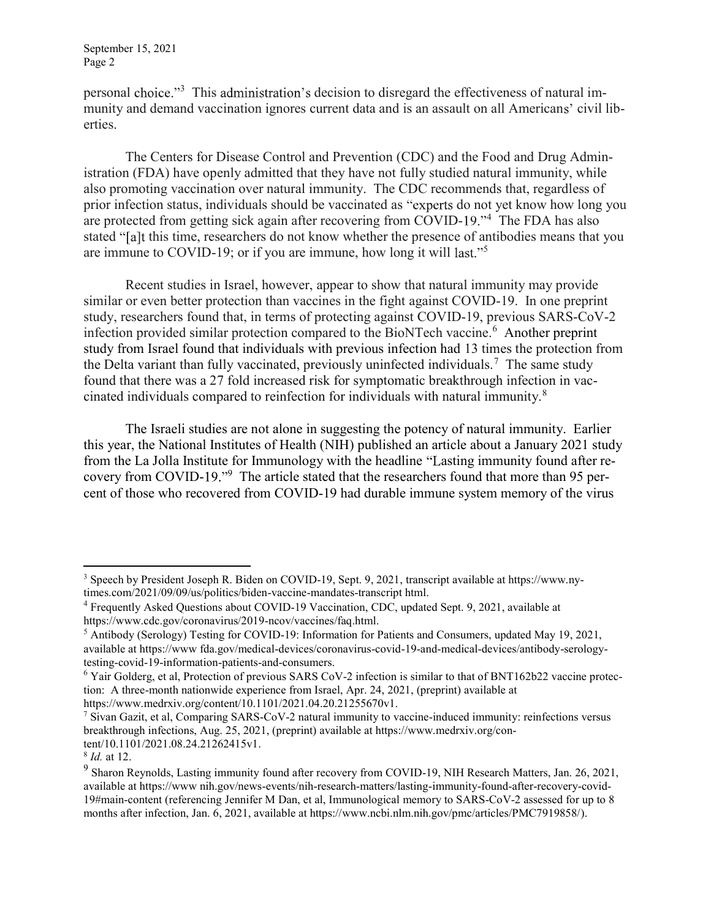personal choice."<sup>3</sup> This administration's decision to disregard the effectiveness of natural immunity and demand vaccination ignores current data and is an assault on all Americans' civil liberties.

The Centers for Disease Control and Prevention (CDC) and the Food and Drug Administration (FDA) have openly admitted that they have not fully studied natural immunity, while also promoting vaccination over natural immunity. The CDC recommends that, regardless of prior infection status, individuals should be vaccinated as "experts do not yet know how long you are protected from getting sick again after recovering from COVID-19.<sup>4</sup> The FDA has also stated "[a]t this time, researchers do not know whether the presence of antibodies means that you are immune to COVID-19; or if you are immune, how long it will last."<sup>5</sup>

Recent studies in Israel, however, appear to show that natural immunity may provide similar or even better protection than vaccines in the fight against COVID-19. In one preprint study, researchers found that, in terms of protecting against COVID-19, previous SARS-CoV-2 infection provided similar protection compared to the BioNTech vaccine.<sup>6</sup> Another preprint study from Israel found that individuals with previous infection had 13 times the protection from the Delta variant than fully vaccinated, previously uninfected individuals.<sup>7</sup> The same study found that there was a 27 fold increased risk for symptomatic breakthrough infection in vaccinated individuals compared to reinfection for individuals with natural immunity.<sup>8</sup>

The Israeli studies are not alone in suggesting the potency of natural immunity. Earlier this year, the National Institutes of Health (NIH) published an article about a January 2021 study from the La Jolla Institute for Immunology with the headline "Lasting immunity found after recovery from COVID-19."<sup>9</sup> The article stated that the researchers found that more than 95 percent of those who recovered from COVID-19 had durable immune system memory of the virus

<sup>7</sup> Sivan Gazit, et al, Comparing SARS-CoV-2 natural immunity to vaccine-induced immunity: reinfections versus breakthrough infections, Aug. 25, 2021, (preprint) available at https://www.medrxiv.org/content/10.1101/2021.08.24.21262415v1.

<sup>3</sup> Speech by President Joseph R. Biden on COVID-19, Sept. 9, 2021, transcript available at https://www.nytimes.com/2021/09/09/us/politics/biden-vaccine-mandates-transcript html.

<sup>4</sup> Frequently Asked Questions about COVID-19 Vaccination, CDC, updated Sept. 9, 2021, available at https://www.cdc.gov/coronavirus/2019-ncov/vaccines/faq.html.

 $<sup>5</sup>$  Antibody (Serology) Testing for COVID-19: Information for Patients and Consumers, updated May 19, 2021,</sup> available at https://www fda.gov/medical-devices/coronavirus-covid-19-and-medical-devices/antibody-serologytesting-covid-19-information-patients-and-consumers.

 $6$  Yair Golderg, et al, Protection of previous SARS CoV-2 infection is similar to that of BNT162b22 vaccine protection: A three-month nationwide experience from Israel, Apr. 24, 2021, (preprint) available at https://www.medrxiv.org/content/10.1101/2021.04.20.21255670v1.

<sup>&</sup>lt;sup>8</sup> *Id.* at 12.

<sup>&</sup>lt;sup>9</sup> Sharon Reynolds, Lasting immunity found after recovery from COVID-19, NIH Research Matters, Jan. 26, 2021, available at https://www nih.gov/news-events/nih-research-matters/lasting-immunity-found-after-recovery-covid-19#main-content (referencing Jennifer M Dan, et al, Immunological memory to SARS-CoV-2 assessed for up to 8 months after infection, Jan. 6, 2021, available at https://www.ncbi.nlm.nih.gov/pmc/articles/PMC7919858/).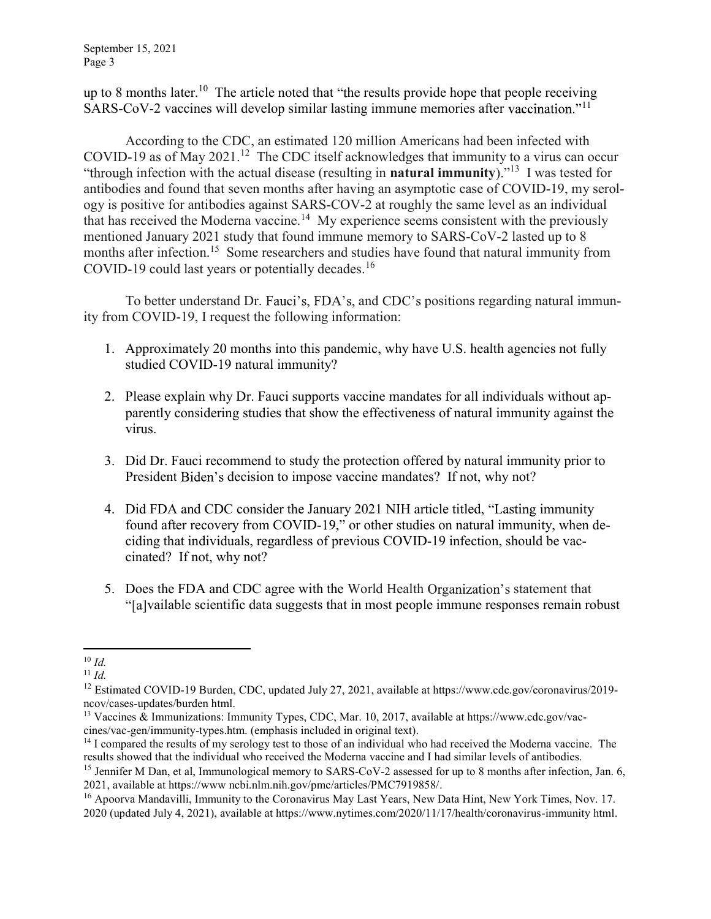September 15, 2021 Page 3

up to 8 months later.<sup>10</sup> The article noted that "the results provide hope that people receiving SARS-CoV-2 vaccines will develop similar lasting immune memories after vaccination.<sup> $11$ </sup>

According to the CDC, an estimated 120 million Americans had been infected with COVID-19 as of May 2021.<sup>12</sup> The CDC itself acknowledges that immunity to a virus can occur "through infection with the actual disease (resulting in **natural immunity**)."<sup>13</sup> I was tested for antibodies and found that seven months after having an asymptotic case of COVID-19, my serology is positive for antibodies against SARS-COV-2 at roughly the same level as an individual that has received the Moderna vaccine.<sup>14</sup> My experience seems consistent with the previously mentioned January 2021 study that found immune memory to SARS-CoV-2 lasted up to 8 months after infection.<sup>15</sup> Some researchers and studies have found that natural immunity from COVID-19 could last years or potentially decades.<sup>16</sup>

To better understand Dr. Fauci's, FDA's, and CDC's positions regarding natural immunity from COVID-19, I request the following information:

- 1. Approximately 20 months into this pandemic, why have U.S. health agencies not fully studied COVID-19 natural immunity?
- 2. Please explain why Dr. Fauci supports vaccine mandates for all individuals without apparently considering studies that show the effectiveness of natural immunity against the virus.
- 3. Did Dr. Fauci recommend to study the protection offered by natural immunity prior to President Biden's decision to impose vaccine mandates? If not, why not?
- 4. Did FDA and CDC consider the January 2021 NIH article titled, "Lasting immunity found after recovery from COVID-19," or other studies on natural immunity, when deciding that individuals, regardless of previous COVID-19 infection, should be vaccinated? If not, why not?
- 5. Does the FDA and CDC agree with the World Health Organization's statement that "[a]vailable scientific data suggests that in most people immune responses remain robust

 $10 \; Id.$ 

 $11$  *Id.* 

<sup>&</sup>lt;sup>12</sup> Estimated COVID-19 Burden, CDC, updated July 27, 2021, available at https://www.cdc.gov/coronavirus/2019ncov/cases-updates/burden html.

<sup>13</sup> Vaccines & Immunizations: Immunity Types, CDC, Mar. 10, 2017, available at https://www.cdc.gov/vaccines/vac-gen/immunity-types.htm. (emphasis included in original text).

 $14$  I compared the results of my serology test to those of an individual who had received the Moderna vaccine. The results showed that the individual who received the Moderna vaccine and I had similar levels of antibodies.

<sup>&</sup>lt;sup>15</sup> Jennifer M Dan, et al, Immunological memory to SARS-CoV-2 assessed for up to 8 months after infection, Jan. 6, 2021, available at https://www ncbi.nlm.nih.gov/pmc/articles/PMC7919858/.

<sup>&</sup>lt;sup>16</sup> Apoorva Mandavilli, Immunity to the Coronavirus May Last Years, New Data Hint, New York Times, Nov. 17. 2020 (updated July 4, 2021), available at https://www.nytimes.com/2020/11/17/health/coronavirus-immunity html.